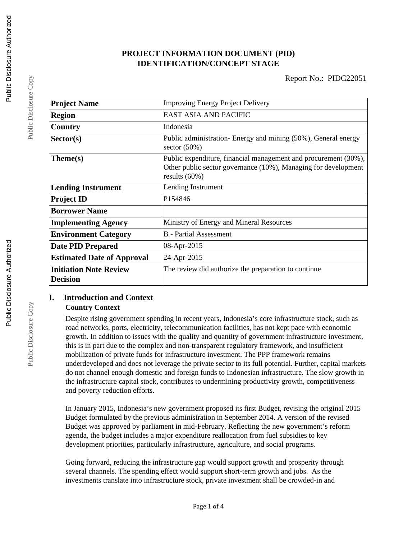# **PROJECT INFORMATION DOCUMENT (PID) IDENTIFICATION/CONCEPT STAGE**

| <b>Improving Energy Project Delivery</b>                                                                                                              |  |  |
|-------------------------------------------------------------------------------------------------------------------------------------------------------|--|--|
| EAST ASIA AND PACIFIC                                                                                                                                 |  |  |
| Indonesia                                                                                                                                             |  |  |
| Public administration- Energy and mining (50%), General energy<br>sector $(50\%)$                                                                     |  |  |
| Public expenditure, financial management and procurement (30%),<br>Other public sector governance (10%), Managing for development<br>results $(60\%)$ |  |  |
| Lending Instrument                                                                                                                                    |  |  |
| P154846                                                                                                                                               |  |  |
|                                                                                                                                                       |  |  |
| Ministry of Energy and Mineral Resources                                                                                                              |  |  |
| <b>B</b> - Partial Assessment                                                                                                                         |  |  |
| 08-Apr-2015                                                                                                                                           |  |  |
| 24-Apr-2015                                                                                                                                           |  |  |
| The review did authorize the preparation to continue                                                                                                  |  |  |
|                                                                                                                                                       |  |  |

## **I. Introduction and Context Country Context**

Despite rising government spending in recent years, Indonesia's core infrastructure stock, such as road networks, ports, electricity, telecommunication facilities, has not kept pace with economic growth. In addition to issues with the quality and quantity of government infrastructure investment, this is in part due to the complex and non-transparent regulatory framework, and insufficient mobilization of private funds for infrastructure investment. The PPP framework remains underdeveloped and does not leverage the private sector to its full potential. Further, capital markets do not channel enough domestic and foreign funds to Indonesian infrastructure. The slow growth in the infrastructure capital stock, contributes to undermining productivity growth, competitiveness and poverty reduction efforts.

In January 2015, Indonesia's new government proposed its first Budget, revising the original 2015 Budget formulated by the previous administration in September 2014. A version of the revised Budget was approved by parliament in mid-February. Reflecting the new government's reform agenda, the budget includes a major expenditure reallocation from fuel subsidies to key development priorities, particularly infrastructure, agriculture, and social programs.

Going forward, reducing the infrastructure gap would support growth and prosperity through several channels. The spending effect would support short-term growth and jobs. As the investments translate into infrastructure stock, private investment shall be crowded-in and

Public Disclosure Copy

Public Disclosure Copy

Public Disclosure Copy

Public Disclosure Copy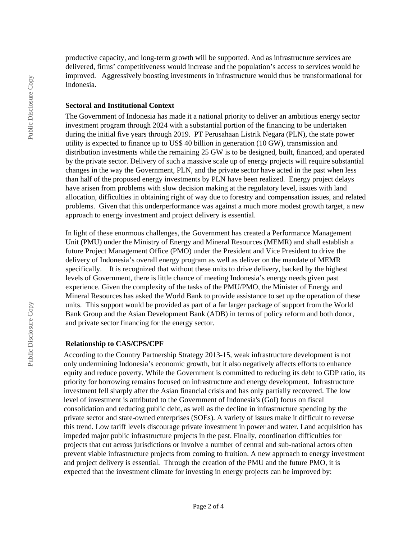productive capacity, and long-term growth will be supported. And as infrastructure services are delivered, firms' competitiveness would increase and the population's access to services would be improved. Aggressively boosting investments in infrastructure would thus be transformational for Indonesia.

#### **Sectoral and Institutional Context**

The Government of Indonesia has made it a national priority to deliver an ambitious energy sector investment program through 2024 with a substantial portion of the financing to be undertaken during the initial five years through 2019. PT Perusahaan Listrik Negara (PLN), the state power utility is expected to finance up to US\$ 40 billion in generation (10 GW), transmission and distribution investments while the remaining 25 GW is to be designed, built, financed, and operated by the private sector. Delivery of such a massive scale up of energy projects will require substantial changes in the way the Government, PLN, and the private sector have acted in the past when less than half of the proposed energy investments by PLN have been realized. Energy project delays have arisen from problems with slow decision making at the regulatory level, issues with land allocation, difficulties in obtaining right of way due to forestry and compensation issues, and related problems. Given that this underperformance was against a much more modest growth target, a new approach to energy investment and project delivery is essential.

In light of these enormous challenges, the Government has created a Performance Management Unit (PMU) under the Ministry of Energy and Mineral Resources (MEMR) and shall establish a future Project Management Office (PMO) under the President and Vice President to drive the delivery of Indonesia's overall energy program as well as deliver on the mandate of MEMR specifically. It is recognized that without these units to drive delivery, backed by the highest levels of Government, there is little chance of meeting Indonesia's energy needs given past experience. Given the complexity of the tasks of the PMU/PMO, the Minister of Energy and Mineral Resources has asked the World Bank to provide assistance to set up the operation of these units. This support would be provided as part of a far larger package of support from the World Bank Group and the Asian Development Bank (ADB) in terms of policy reform and both donor, and private sector financing for the energy sector.

#### **Relationship to CAS/CPS/CPF**

According to the Country Partnership Strategy 2013-15, weak infrastructure development is not only undermining Indonesia's economic growth, but it also negatively affects efforts to enhance equity and reduce poverty. While the Government is committed to reducing its debt to GDP ratio, its priority for borrowing remains focused on infrastructure and energy development. Infrastructure investment fell sharply after the Asian financial crisis and has only partially recovered. The low level of investment is attributed to the Government of Indonesia's (GoI) focus on fiscal consolidation and reducing public debt, as well as the decline in infrastructure spending by the private sector and state-owned enterprises (SOEs). A variety of issues make it difficult to reverse this trend. Low tariff levels discourage private investment in power and water. Land acquisition has impeded major public infrastructure projects in the past. Finally, coordination difficulties for projects that cut across jurisdictions or involve a number of central and sub-national actors often prevent viable infrastructure projects from coming to fruition. A new approach to energy investment and project delivery is essential. Through the creation of the PMU and the future PMO, it is expected that the investment climate for investing in energy projects can be improved by: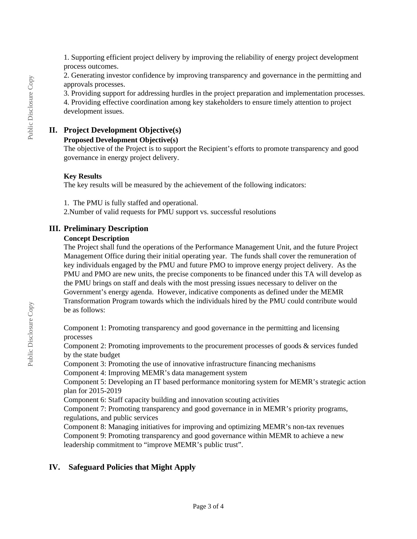1. Supporting efficient project delivery by improving the reliability of energy project development process outcomes.

2. Generating investor confidence by improving transparency and governance in the permitting and approvals processes.

3. Providing support for addressing hurdles in the project preparation and implementation processes.

4. Providing effective coordination among key stakeholders to ensure timely attention to project development issues.

## **II. Project Development Objective(s)**

#### **Proposed Development Objective(s)**

The objective of the Project is to support the Recipient's efforts to promote transparency and good governance in energy project delivery.

## **Key Results**

The key results will be measured by the achievement of the following indicators:

1. The PMU is fully staffed and operational.

2.Number of valid requests for PMU support vs. successful resolutions

## **III. Preliminary Description**

#### **Concept Description**

The Project shall fund the operations of the Performance Management Unit, and the future Project Management Office during their initial operating year. The funds shall cover the remuneration of key individuals engaged by the PMU and future PMO to improve energy project delivery. As the PMU and PMO are new units, the precise components to be financed under this TA will develop as the PMU brings on staff and deals with the most pressing issues necessary to deliver on the Government's energy agenda. However, indicative components as defined under the MEMR Transformation Program towards which the individuals hired by the PMU could contribute would be as follows:

Component 1: Promoting transparency and good governance in the permitting and licensing processes

Component 2: Promoting improvements to the procurement processes of goods & services funded by the state budget

Component 3: Promoting the use of innovative infrastructure financing mechanisms

Component 4: Improving MEMR's data management system

Component 5: Developing an IT based performance monitoring system for MEMR's strategic action plan for 2015-2019

Component 6: Staff capacity building and innovation scouting activities

Component 7: Promoting transparency and good governance in in MEMR's priority programs, regulations, and public services

Component 8: Managing initiatives for improving and optimizing MEMR's non-tax revenues Component 9: Promoting transparency and good governance within MEMR to achieve a new leadership commitment to "improve MEMR's public trust".

# **IV. Safeguard Policies that Might Apply**

Public Disclosure Copy

Public Disclosure Copy